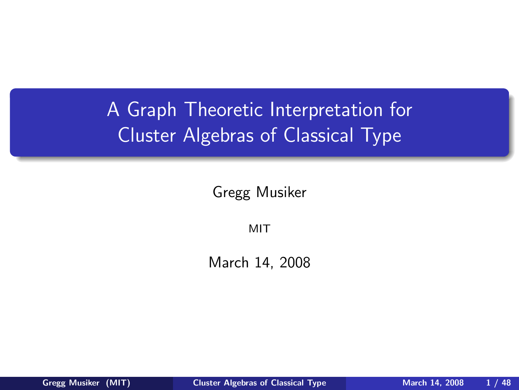# A Graph Theoretic Interpretation for Cluster Algebras of Classical Type

Gregg Musiker

<span id="page-0-0"></span>MIT

March 14, 2008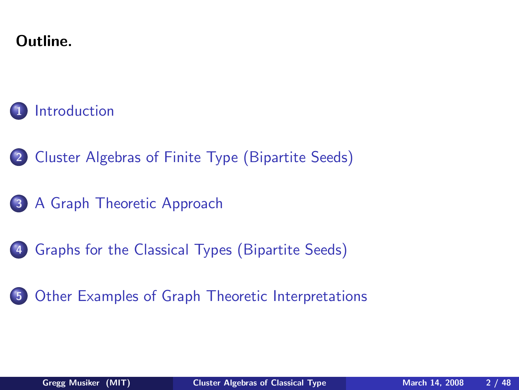#### Outline.

#### **[Introduction](#page-1-0)**

- 2 [Cluster Algebras of Finite Type \(Bipartite Seeds\)](#page-7-0)
- 3 [A Graph Theoretic Approach](#page-11-0)
- 4 [Graphs for the Classical Types \(Bipartite Seeds\)](#page-16-0)
- <span id="page-1-0"></span>5 [Other Examples of Graph Theoretic Interpretations](#page-35-0)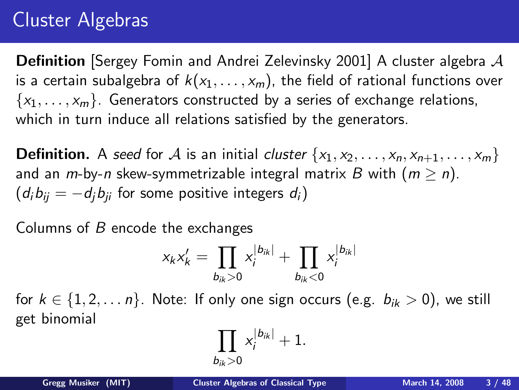#### Cluster Algebras

**Definition** [Sergey Fomin and Andrei Zelevinsky 2001] A cluster algebra  $\mathcal A$ is a certain subalgebra of  $k(x_1, \ldots, x_m)$ , the field of rational functions over  ${x_1, \ldots, x_m}$ . Generators constructed by a series of exchange relations, which in turn induce all relations satisfied by the generators.

**Definition.** A seed for A is an initial cluster  $\{x_1, x_2, \ldots, x_n, x_{n+1}, \ldots, x_m\}$ and an  $m$ -by-n skew-symmetrizable integral matrix B with  $(m \ge n)$ .  $(d_i b_{ii} = -d_i b_{ii}$  for some positive integers  $d_i$ )

Columns of  $B$  encode the exchanges

$$
x_k x'_k = \prod_{b_{ik} > 0} x_i^{|b_{ik}|} + \prod_{b_{ik} < 0} x_i^{|b_{ik}|}
$$

for  $k \in \{1, 2, \ldots n\}$ . Note: If only one sign occurs (e.g.  $b_{ik} > 0$ ), we still get binomial

$$
\prod_{b_{ik}>0} \mathsf x_i^{|b_{ik}|}+1.
$$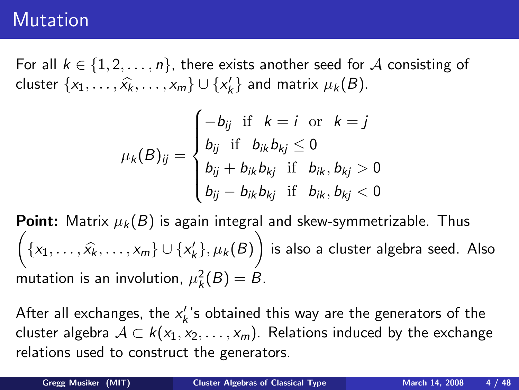#### **Mutation**

For all  $k \in \{1, 2, ..., n\}$ , there exists another seed for A consisting of cluster  $\{x_1, \ldots, \widehat{x}_k, \ldots, x_m\} \cup \{x'_k\}$  and matrix  $\mu_k(B)$ .

$$
\mu_{k}(B)_{ij} = \begin{cases}\n-b_{ij} & \text{if } k = i \text{ or } k = j \\
b_{ij} & \text{if } b_{ik}b_{kj} \le 0 \\
b_{ij} + b_{ik}b_{kj} & \text{if } b_{ik}, b_{kj} > 0 \\
b_{ij} - b_{ik}b_{kj} & \text{if } b_{ik}, b_{kj} < 0\n\end{cases}
$$

**Point:** Matrix  $\mu_k(B)$  is again integral and skew-symmetrizable. Thus  $\sqrt{2}$  $\{x_1, ..., \hat{x_k}, ..., x_m\} \cup \{x'_k\}, \mu_k(B)$  $\setminus$ is also a cluster algebra seed. Also mutation is an involution,  $\mu_k^2(B)=B$ .

After all exchanges, the  $x_k^{\prime}$ 's obtained this way are the generators of the cluster algebra  $A \subset k(x_1, x_2, \ldots, x_m)$ . Relations induced by the exchange relations used to construct the generators.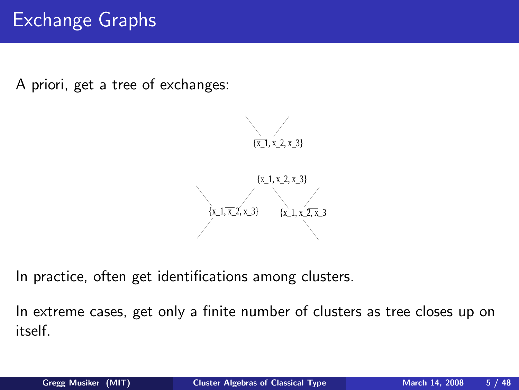#### Exchange Graphs

A priori, get a tree of exchanges:



In practice, often get identifications among clusters.

In extreme cases, get only a finite number of clusters as tree closes up on itself.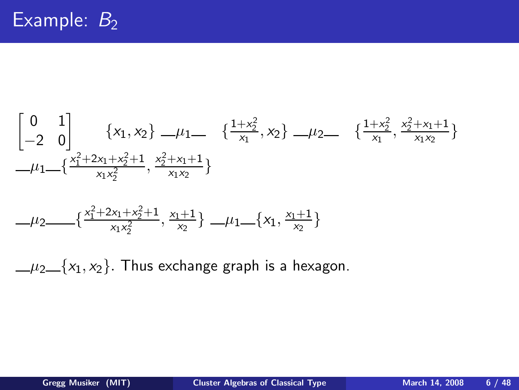$$
\begin{bmatrix} 0 & 1 \ -2 & 0 \end{bmatrix} \{x_1, x_2\} \_ \mu_1 \_ \{ \begin{array}{c} \{1+x_2^2, x_2\} \_ \mu_2 \_ \end{array} \{x_1^2 + x_2^2 + x_1 + 1 \} \\ \_ \mu_1 \_ \{ \frac{x_1^2 + 2x_1 + x_2^2 + 1}{x_1x_2^2}, \frac{x_2^2 + x_1 + 1}{x_1x_2} \} \end{array}
$$

$$
-\mu_2 \in \{\frac{x_1^2 + 2x_1 + x_2^2 + 1}{x_1x_2^2}, \frac{x_1 + 1}{x_2}\} \in \mu_1 \in \{x_1, \frac{x_1 + 1}{x_2}\}
$$

 $\mu_2 \neq \{x_1, x_2\}$ . Thus exchange graph is a hexagon.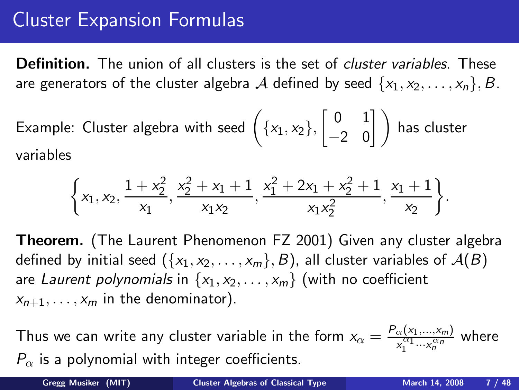#### Cluster Expansion Formulas

**Definition.** The union of all clusters is the set of *cluster variables*. These are generators of the cluster algebra A defined by seed  $\{x_1, x_2, \ldots, x_n\}, B$ .

Example: Cluster algebra with seed 
$$
\left(\{x_1, x_2\}, \begin{bmatrix} 0 & 1 \\ -2 & 0 \end{bmatrix} \right)
$$
 has cluster variables

$$
\Bigg\{x_1, x_2, \frac{1+x_2^2}{x_1}, \frac{x_2^2+x_1+1}{x_1x_2}, \frac{x_1^2+2x_1+x_2^2+1}{x_1x_2^2}, \frac{x_1+1}{x_2}\Bigg\}.
$$

Theorem. (The Laurent Phenomenon FZ 2001) Given any cluster algebra defined by initial seed  $({x_1, x_2, \ldots, x_m}, B)$ , all cluster variables of  $A(B)$ are Laurent polynomials in  $\{x_1, x_2, \ldots, x_m\}$  (with no coefficient  $x_{n+1}, \ldots, x_m$  in the denominator).

Thus we can write any cluster variable in the form  $x_\alpha = \frac{P_\alpha(x_1,...,x_m)}{x^{\alpha_1}...x^{\alpha_n}}$  $\frac{\alpha (x_1,...,x_m)}{x_1^{\alpha_1}...x_n^{\alpha_n}}$  where  $P_{\alpha}$  is a polynomial with integer coefficients.

Gregg Musiker (MIT) [Cluster Algebras of Classical Type](#page-0-0) March 14, 2008 7 / 48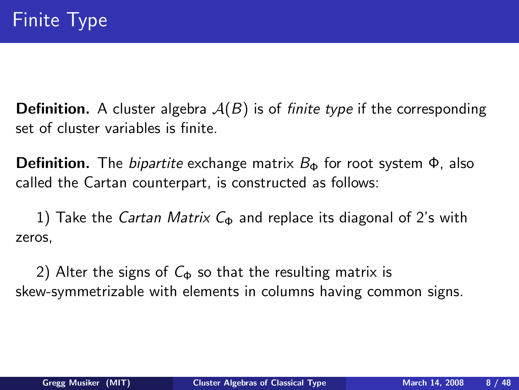**Definition.** A cluster algebra  $A(B)$  is of *finite type* if the corresponding set of cluster variables is finite.

**Definition.** The *bipartite* exchange matrix  $B_{\Phi}$  for root system  $\Phi$ , also called the Cartan counterpart, is constructed as follows:

1) Take the *Cartan Matrix*  $C_{\Phi}$  and replace its diagonal of 2's with zeros,

<span id="page-7-0"></span>2) Alter the signs of  $C_{\Phi}$  so that the resulting matrix is skew-symmetrizable with elements in columns having common signs.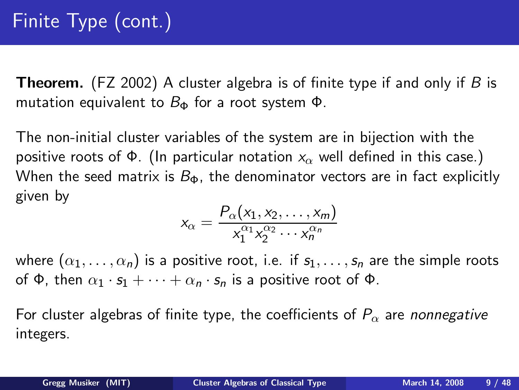**Theorem.** (FZ 2002) A cluster algebra is of finite type if and only if B is mutation equivalent to  $B_{\Phi}$  for a root system  $\Phi$ .

The non-initial cluster variables of the system are in bijection with the positive roots of  $\Phi$ . (In particular notation  $x_{\alpha}$  well defined in this case.) When the seed matrix is  $B_{\Phi}$ , the denominator vectors are in fact explicitly given by

$$
x_{\alpha} = \frac{P_{\alpha}(x_1, x_2, \dots, x_m)}{x_1^{\alpha_1} x_2^{\alpha_2} \cdots x_n^{\alpha_n}}
$$

where  $(\alpha_1, \ldots, \alpha_n)$  is a positive root, i.e. if  $s_1, \ldots, s_n$  are the simple roots of  $\Phi$ , then  $\alpha_1 \cdot s_1 + \cdots + \alpha_n \cdot s_n$  is a positive root of  $\Phi$ .

For cluster algebras of finite type, the coefficients of  $P_{\alpha}$  are *nonnegative* integers.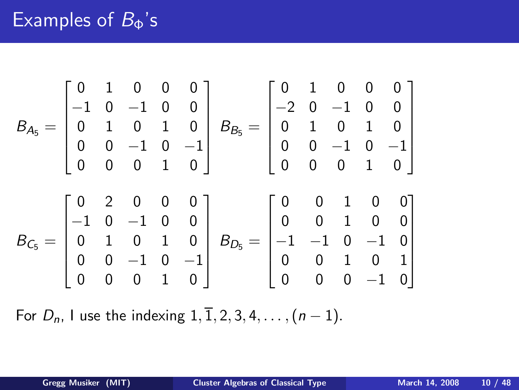#### Examples of  $B_{\Phi}$ 's

BA<sup>5</sup> = 0 1 0 0 0 −1 0 −1 0 0 0 1 0 1 0 0 0 −1 0 −1 0 0 0 1 0 BB<sup>5</sup> = 0 1 0 0 0 −2 0 −1 0 0 0 1 0 1 0 0 0 −1 0 −1 0 0 0 1 0 BC<sup>5</sup> = 0 2 0 0 0 −1 0 −1 0 0 0 1 0 1 0 0 0 −1 0 −1 0 0 0 1 0 BD<sup>5</sup> = 0 0 1 0 0 0 0 1 0 0 −1 −1 0 −1 0 0 0 1 0 1 0 0 0 −1 0 

For  $D_n$ , I use the indexing  $1, \overline{1}, 2, 3, 4, \ldots, (n-1)$ .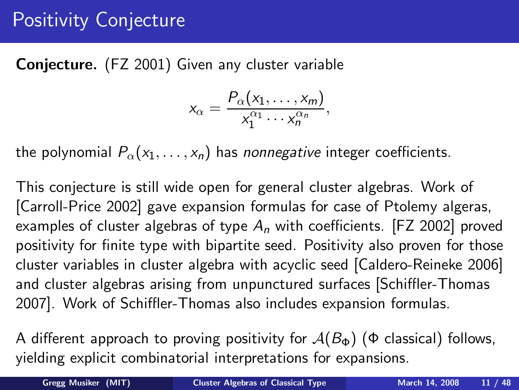#### Positivity Conjecture

Conjecture. (FZ 2001) Given any cluster variable

$$
x_{\alpha}=\frac{P_{\alpha}(x_1,\ldots,x_m)}{x_1^{\alpha_1}\cdots x_n^{\alpha_n}},
$$

the polynomial  $P_{\alpha}(x_1,\ldots,x_n)$  has *nonnegative* integer coefficients.

This conjecture is still wide open for general cluster algebras. Work of [Carroll-Price 2002] gave expansion formulas for case of Ptolemy algeras, examples of cluster algebras of type  $A_n$  with coefficients. [FZ 2002] proved positivity for finite type with bipartite seed. Positivity also proven for those cluster variables in cluster algebra with acyclic seed [Caldero-Reineke 2006] and cluster algebras arising from unpunctured surfaces [Schiffler-Thomas 2007]. Work of Schiffler-Thomas also includes expansion formulas.

A different approach to proving positivity for  $A(B_{\Phi})$  ( $\Phi$  classical) follows, yielding explicit combinatorial interpretations for expansions.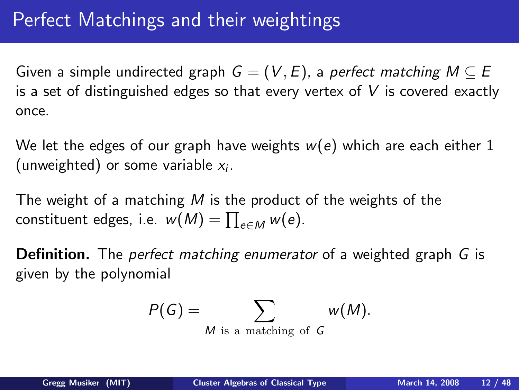Given a simple undirected graph  $G = (V, E)$ , a perfect matching  $M \subseteq E$ is a set of distinguished edges so that every vertex of  $V$  is covered exactly once.

We let the edges of our graph have weights  $w(e)$  which are each either 1 (unweighted) or some variable  $x_i$ .

The weight of a matching M is the product of the weights of the constituent edges, i.e.  $w(M) = \prod_{e \in M} w(e)$ .

**Definition.** The *perfect matching enumerator* of a weighted graph G is given by the polynomial

<span id="page-11-0"></span>
$$
P(G) = \sum_{M \text{ is a matching of } G} w(M).
$$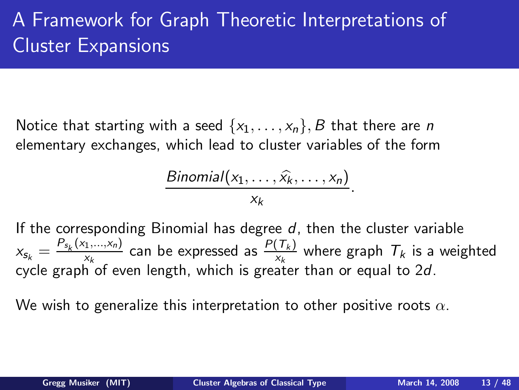# A Framework for Graph Theoretic Interpretations of Cluster Expansions

Notice that starting with a seed  $\{x_1, \ldots, x_n\}$ , B that there are n elementary exchanges, which lead to cluster variables of the form

Binomial
$$
(x_1, ..., \hat{x_k}, ..., x_n)
$$
  
 $x_k$ 

If the corresponding Binomial has degree  $d$ , then the cluster variable  $x_{s_k} = \frac{P_{s_k}(x_1,...,x_n)}{x_k}$  $\frac{f_1,...,x_n}{x_k}$  can be expressed as  $\frac{P(T_k)}{x_k}$  where graph  $T_k$  is a weighted cycle graph of even length, which is greater than or equal to 2d.

We wish to generalize this interpretation to other positive roots  $\alpha$ .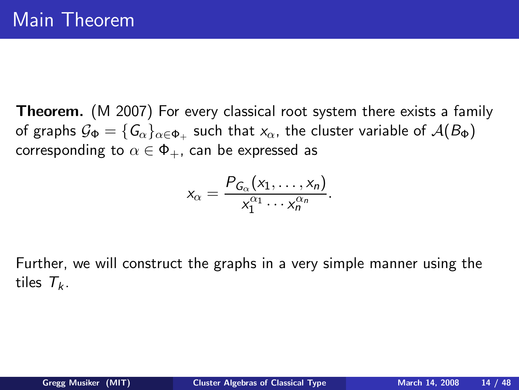**Theorem.** (M 2007) For every classical root system there exists a family of graphs  $\mathcal{G}_\Phi=\{ \mathsf{G}_\alpha\}_{\alpha\in \Phi_+}$  such that  $\mathsf{x}_\alpha$ , the cluster variable of  $\mathcal{A}(B_\Phi)$ corresponding to  $\alpha \in \Phi_+$ , can be expressed as

$$
x_{\alpha}=\frac{P_{G_{\alpha}}(x_1,\ldots,x_n)}{x_1^{\alpha_1}\cdots x_n^{\alpha_n}}.
$$

Further, we will construct the graphs in a very simple manner using the tiles  $T_k$ .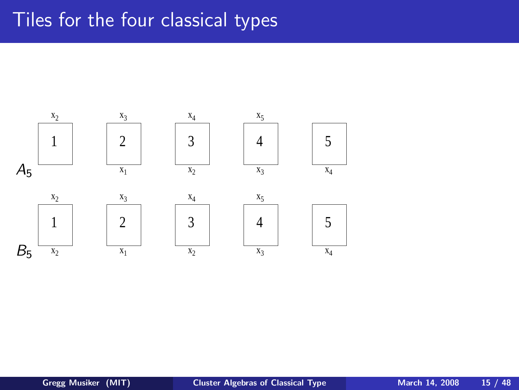#### Tiles for the four classical types

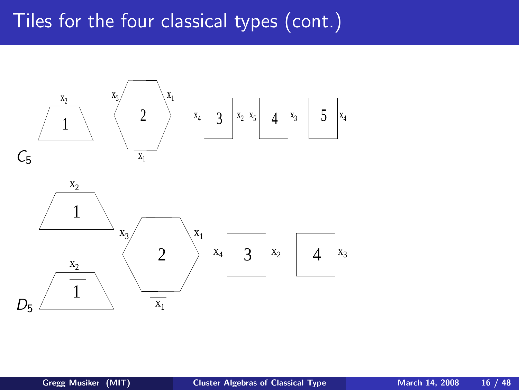#### Tiles for the four classical types (cont.)



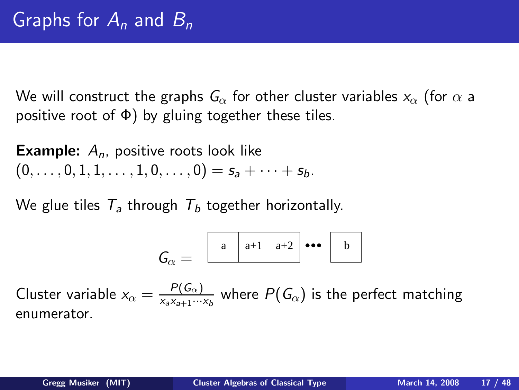We will construct the graphs  $G_{\alpha}$  for other cluster variables  $x_{\alpha}$  (for  $\alpha$  a positive root of  $\Phi$ ) by gluing together these tiles.

**Example:**  $A_n$ , positive roots look like  $(0, \ldots, 0, 1, 1, \ldots, 1, 0, \ldots, 0) = s_a + \cdots + s_b.$ 

We glue tiles  $T_a$  through  $T_b$  together horizontally.

<span id="page-16-0"></span>
$$
\mathsf{G}_{\alpha}=\begin{array}{|c|c|c|}\hline \rule{0pt}{1em} a & \rule{0pt}{2.2pt} a+1 & \rule{0pt}{2.2pt} a+2 & \bullet\bullet\bullet\end{array}\begin{array}{|c|c|c|}\hline \rule{0pt}{2em} b & \rule{0pt}{2.2pt} \\\hline \rule{0pt}{2.2pt} b & \rule{0pt}{2.2pt} \\\hline \rule{0pt}{2.2pt} b & \rule{0pt}{2.2pt} \\\hline \rule{0pt}{2.2pt} b & \rule{0pt}{2.2pt} \\\hline \rule{0pt}{2.2pt} b & \rule{0pt}{2.2pt} \\\hline \rule{0pt}{2.2pt} b & \rule{0pt}{2.2pt} \\\hline \rule{0pt}{2.2pt} b & \rule{0pt}{2.2pt} \\\hline \rule{0pt}{2.2pt} b & \rule{0pt}{2.2pt} \\\hline \rule{0pt}{2.2pt} b & \rule{0pt}{2.2pt} \\\hline \rule{0pt}{2.2pt} b & \rule{0pt}{2.2pt} \\\hline \rule{0pt}{2.2pt} b & \rule{0pt}{2.2pt} \\\hline \rule{0pt}{2.2pt} b & \rule{0pt}{2.2pt} \\\hline \rule{0pt}{2.2pt} b & \rule{0pt}{2.2pt} \\\hline \rule{0pt}{2.2pt} b & \rule{0pt}{2.2pt} \\\hline \rule{0pt}{2.2pt} b & \rule{0pt}{2.2pt} \\\hline \rule{0pt}{2.2pt} b & \rule{0pt}{2.2pt} \\\hline \rule{0pt}{2.2pt} b & \rule{0pt}{2.2pt} \\\hline \rule{0pt}{2.2pt} b & \rule{0pt}{2.2pt} \\\hline \rule{0pt}{2.2pt} b & \rule{0pt}{2.2pt} \\\hline \rule{0pt}{2.2pt} b & \rule{0pt}{2.2pt} \\\hline \rule{0pt}{2.2pt} b & \rule{0pt}{2.2pt} \\\hline \rule{0pt}{2.2pt} b & \rule{0pt}{2.2pt} \\\hline \rule{0pt}{2.2pt} b & \rule{0pt}{2.2pt} \\\hline \rule{0pt}{2.2pt} b & \rule{0pt}{2.2pt} \\\hline
$$

Cluster variable  $x_{\alpha} = \frac{P(G_{\alpha})}{x_{\alpha}x_{\alpha+1}...}$  $\frac{P(\mathsf{u}_\alpha)}{X_\alpha X_{a+1}\cdots X_b}$  where  $P(G_\alpha)$  is the perfect matching enumerator.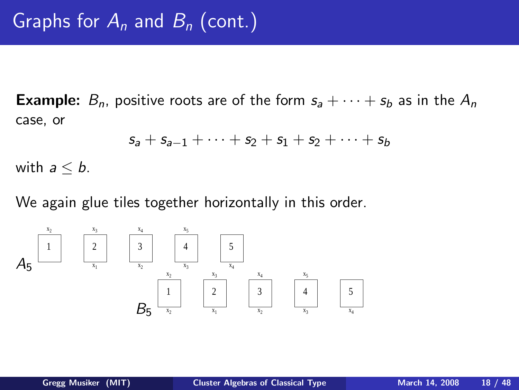**Example:**  $B_n$ , positive roots are of the form  $s_a + \cdots + s_b$  as in the  $A_n$ case, or

$$
s_a + s_{a-1} + \cdots + s_2 + s_1 + s_2 + \cdots + s_b
$$

with  $a \leq b$ .

We again glue tiles together horizontally in this order.

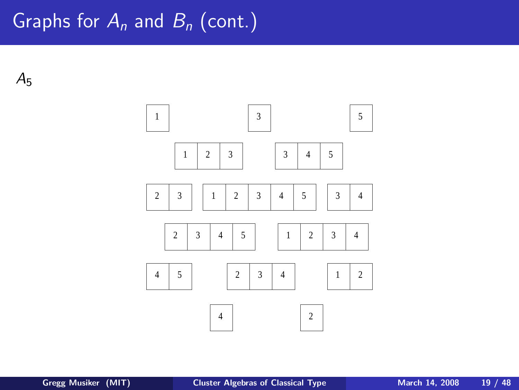#### Graphs for  $A_n$  and  $B_n$  (cont.)

 $A<sub>5</sub>$ 

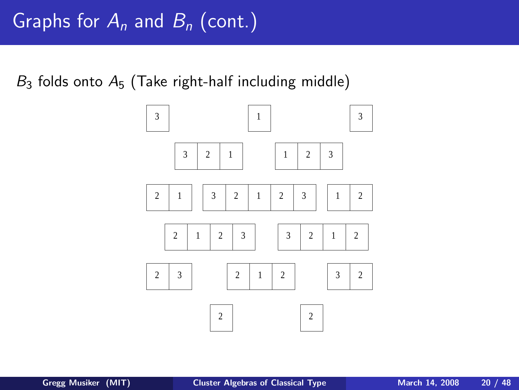$B_3$  folds onto  $A_5$  (Take right-half including middle)

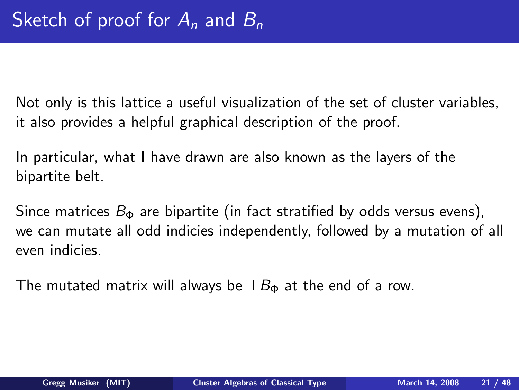Not only is this lattice a useful visualization of the set of cluster variables, it also provides a helpful graphical description of the proof.

In particular, what I have drawn are also known as the layers of the bipartite belt.

Since matrices  $B_{\Phi}$  are bipartite (in fact stratified by odds versus evens), we can mutate all odd indicies independently, followed by a mutation of all even indicies.

The mutated matrix will always be  $\pm B_{\Phi}$  at the end of a row.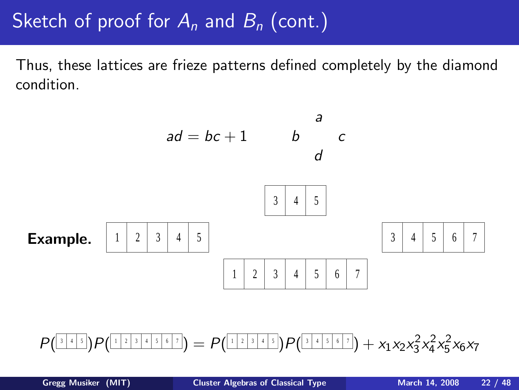Thus, these lattices are frieze patterns defined completely by the diamond condition.



$$
P(\sqrt{\frac{1}{3}+15})P(\sqrt{\frac{1}{3}+15+15}) = P(\sqrt{\frac{1}{3}+15})P(\sqrt{\frac{1}{3}+15+15}) + x_1x_2x_3^2x_4^2x_5^2x_6x_7
$$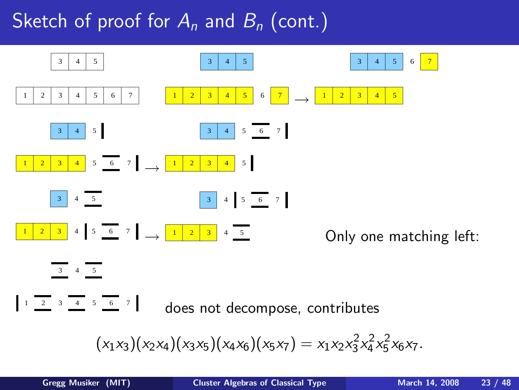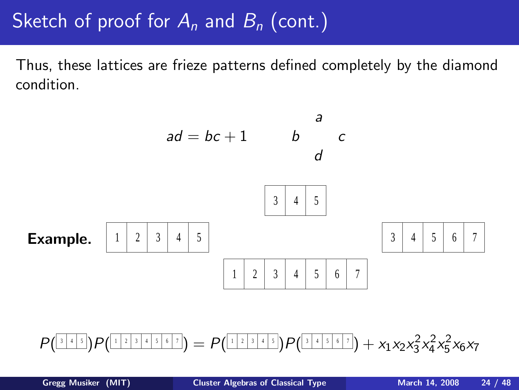Thus, these lattices are frieze patterns defined completely by the diamond condition.



$$
P(\sqrt{\frac{1}{3}+15})P(\sqrt{\frac{1}{3}+15+15}) = P(\sqrt{\frac{1}{3}+15})P(\sqrt{\frac{1}{3}+15+15}) + x_1x_2x_3^2x_4^2x_5^2x_6x_7
$$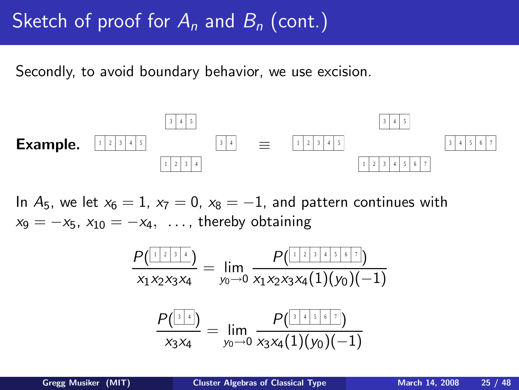Secondly, to avoid boundary behavior, we use excision.



In  $A_5$ , we let  $x_6 = 1$ ,  $x_7 = 0$ ,  $x_8 = -1$ , and pattern continues with  $x_9 = -x_5$ ,  $x_{10} = -x_4$ , ..., thereby obtaining

$$
\frac{P(\frac{[1 \ 2 \ 3 \ 4 \ 4 \ 5 \ 6 \ 7)}{1 \times 1 \times 2 \times 3 \times 4}]}{P(\frac{[1 \ 2 \ 2 \ 3 \ 4 \ 4 \ 5 \ 6 \ 7)}{1 \times 1 \times 2 \times 3 \times 4}]} = \lim_{y_0 \to 0} \frac{P(\frac{[1 \ 2 \ 2 \ 3 \ 4 \ 5 \ 6 \ 7 \ 7)}{1 \times 1 \times 4}]}{P(\frac{[3 \ 4 \ 5 \ 6 \ 7 \ 7 \ 7 \ 8 \ 7 \times 4)}{1 \times 1 \times 4}]} = \lim_{y_0 \to 0} \frac{P(\frac{[3 \ 4 \ 5 \ 6 \ 7 \ 7)}{1 \times 1 \times 4}]}{x_3 x_4 (1)(y_0)(-1)}
$$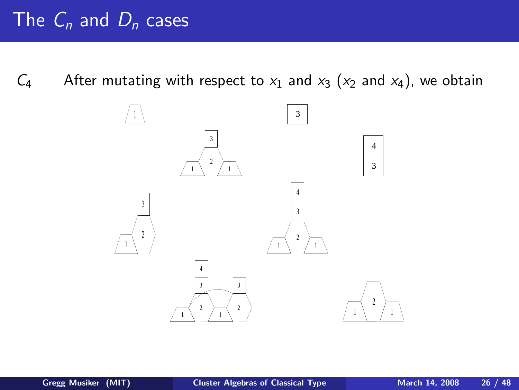$C_4$  After mutating with respect to  $x_1$  and  $x_3$  ( $x_2$  and  $x_4$ ), we obtain

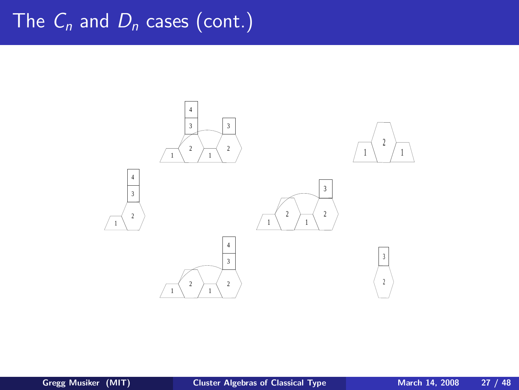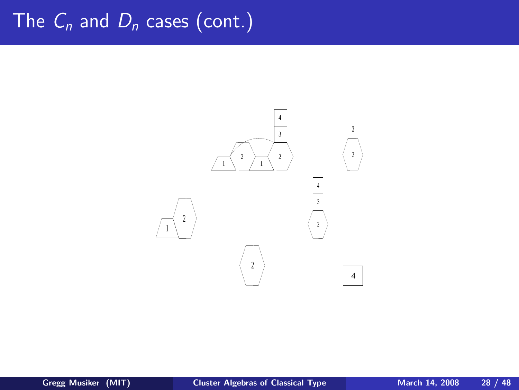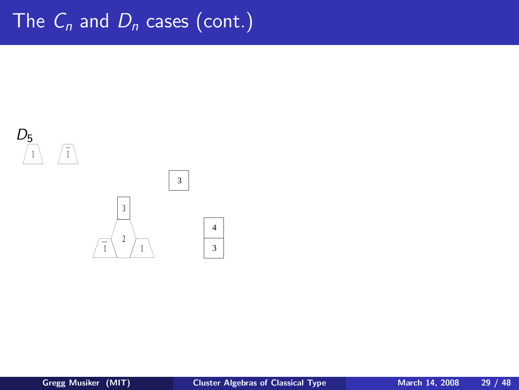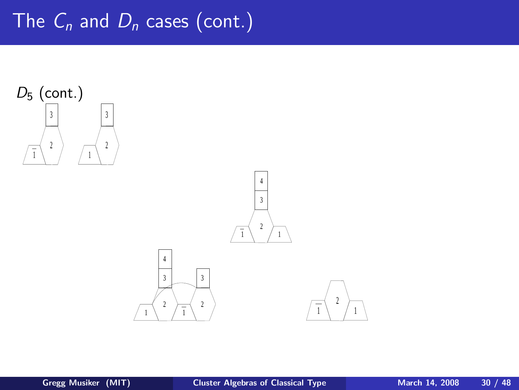

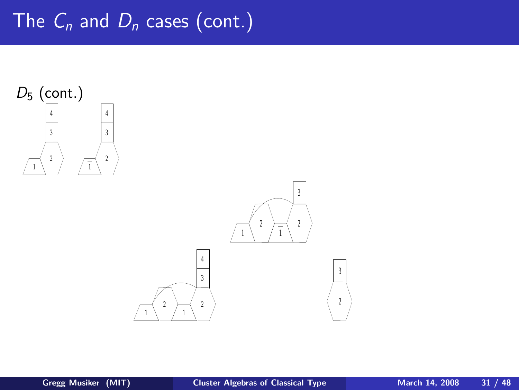

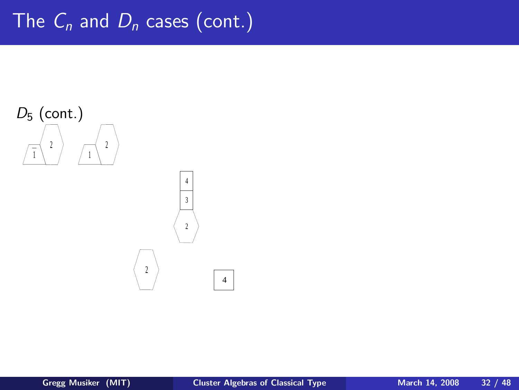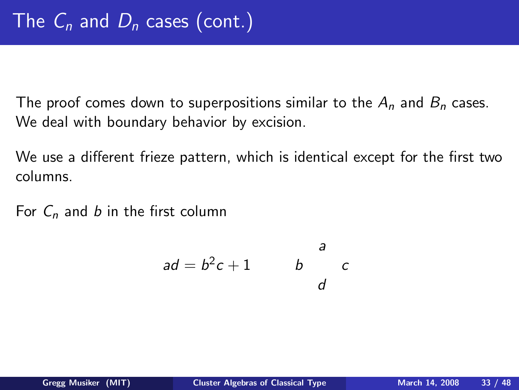The proof comes down to superpositions similar to the  $A_n$  and  $B_n$  cases. We deal with boundary behavior by excision.

We use a different frieze pattern, which is identical except for the first two columns.

For  $C_n$  and b in the first column

$$
ad = b^2c + 1 \qquad \qquad b \qquad c
$$

a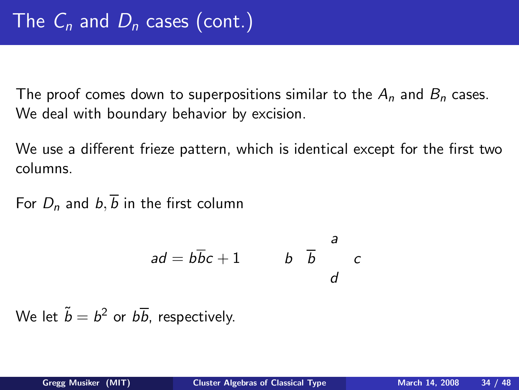The proof comes down to superpositions similar to the  $A_n$  and  $B_n$  cases. We deal with boundary behavior by excision.

We use a different frieze pattern, which is identical except for the first two columns.

For  $D_n$  and  $b, \overline{b}$  in the first column

$$
ad = b\overline{b}c + 1 \qquad \qquad b \quad \overline{b} \qquad \overline{c}
$$

We let  $\tilde{b} = b^2$  or  $b\overline{b}$ , respectively.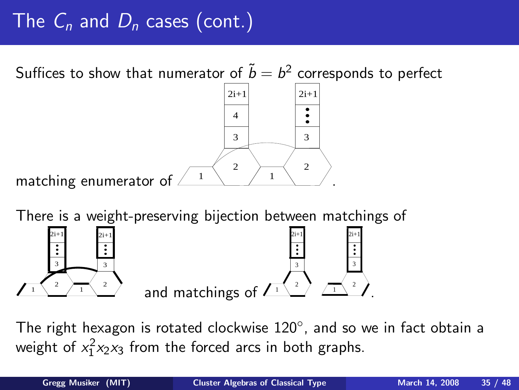Suffices to show that numerator of  $\widetilde{b}=b^2$  corresponds to perfect

matching enumerator of  $\lambda$  $3 \mid$  3 2  $\rightarrow$  2 4  $2i+1$   $2i+1$ .

There is a weight-preserving bijection between matchings of



The right hexagon is rotated clockwise  $120^{\circ}$ , and so we in fact obtain a weight of  $x_1^2x_2x_3$  from the forced arcs in both graphs.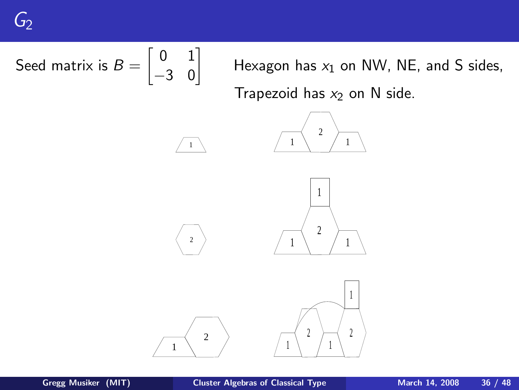Seed matrix is 
$$
B = \begin{bmatrix} 0 & 1 \\ -3 & 0 \end{bmatrix}
$$

\nHexagon has  $x_1$  on NW, NE, and S sides, Trapezoid has  $x_2$  on N side.

\n

<span id="page-35-0"></span>1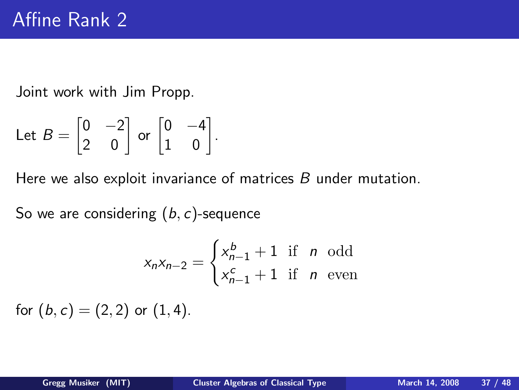Joint work with Jim Propp.

Let 
$$
B = \begin{bmatrix} 0 & -2 \\ 2 & 0 \end{bmatrix}
$$
 or  $\begin{bmatrix} 0 & -4 \\ 1 & 0 \end{bmatrix}$ .

Here we also exploit invariance of matrices B under mutation.

So we are considering  $(b, c)$ -sequence

$$
x_n x_{n-2} = \begin{cases} x_{n-1}^b + 1 & \text{if } n \text{ odd} \\ x_{n-1}^c + 1 & \text{if } n \text{ even} \end{cases}
$$

for  $(b, c) = (2, 2)$  or  $(1, 4)$ .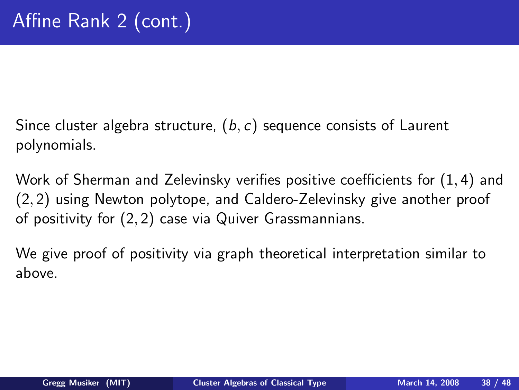Since cluster algebra structure,  $(b, c)$  sequence consists of Laurent polynomials.

Work of Sherman and Zelevinsky verifies positive coefficients for (1, 4) and (2, 2) using Newton polytope, and Caldero-Zelevinsky give another proof of positivity for (2, 2) case via Quiver Grassmannians.

We give proof of positivity via graph theoretical interpretation similar to above.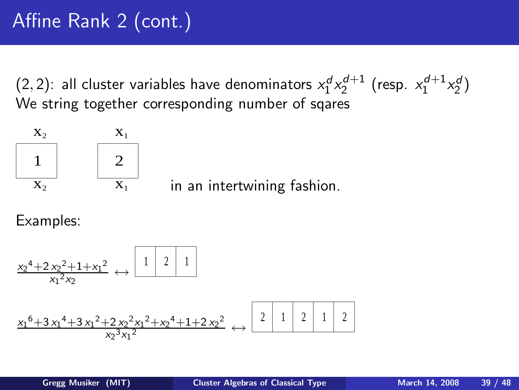$(2, 2)$ : all cluster variables have denominators  $x_1^d x_2^{d+1}$  (resp.  $x_1^{d+1} x_2^d$ ) We string together corresponding number of sqares



Examples:

$$
\frac{x_2^4 + 2x_2^2 + 1 + x_1^2}{x_1^2 x_2} \leftrightarrow \frac{1 \mid 2 \mid 1}{1}
$$
\n
$$
\frac{x_1^6 + 3x_1^4 + 3x_1^2 + 2x_2^2 x_1^2 + x_2^4 + 1 + 2x_2^2}{x_2^3 x_1^2} \leftrightarrow \frac{2 \mid 1 \mid 2 \mid 1 \mid 2}{1 \mid 2}
$$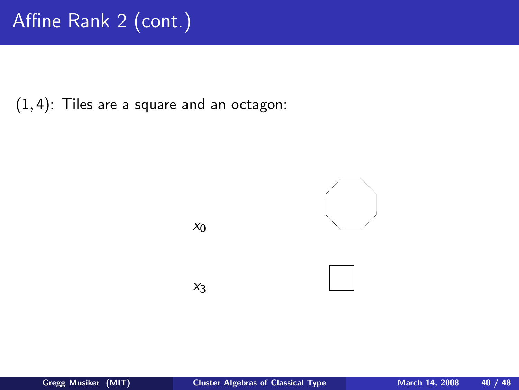$(1, 4)$ : Tiles are a square and an octagon:

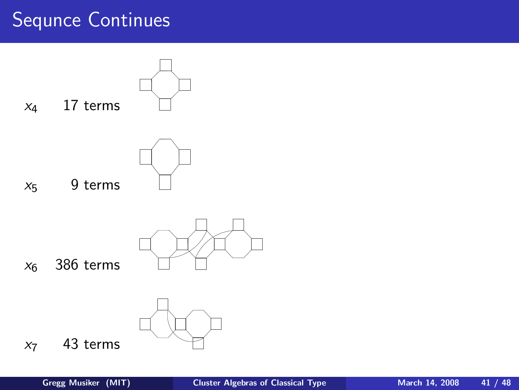#### Sequnce Continues

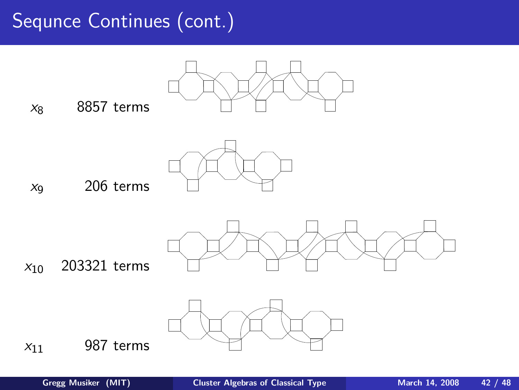#### Sequnce Continues (cont.)

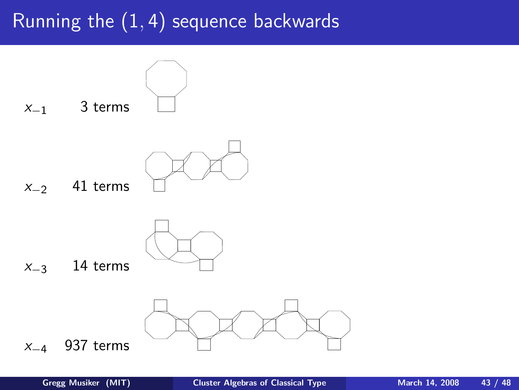### Running the  $(1, 4)$  sequence backwards

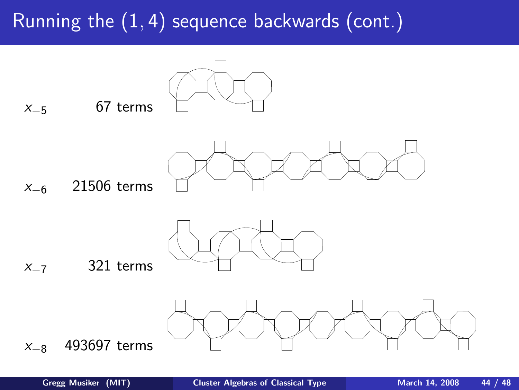# Running the (1, 4) sequence backwards (cont.)



 $x_{-5}$  67 terms



x−<sup>6</sup> 21506 terms



#### $x_{-7}$  321 terms

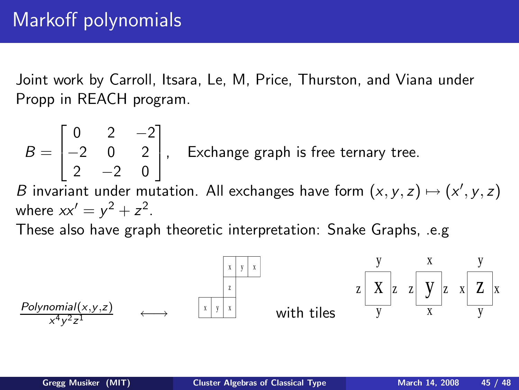Joint work by Carroll, Itsara, Le, M, Price, Thurston, and Viana under Propp in REACH program.

 $B =$  $\sqrt{ }$  $\mathbf{I}$ 0 2 −2 −2 0 2  $2 -2 0$ 1  $\vert$ , Exchange graph is free ternary tree.  $B$  invariant under mutation. All exchanges have form  $(x, y, z) \mapsto (x', y, z)$ 

where  $xx' = y^2 + z^2$ .

These also have graph theoretic interpretation: Snake Graphs, .e.g

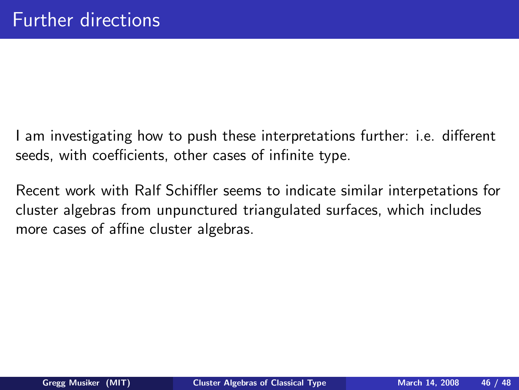I am investigating how to push these interpretations further: i.e. different seeds, with coefficients, other cases of infinite type.

Recent work with Ralf Schiffler seems to indicate similar interpetations for cluster algebras from unpunctured triangulated surfaces, which includes more cases of affine cluster algebras.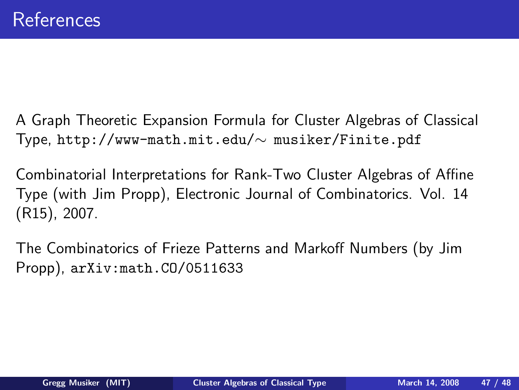- A Graph Theoretic Expansion Formula for Cluster Algebras of Classical Type, http://www-math.mit.edu/∼ musiker/Finite.pdf
- Combinatorial Interpretations for Rank-Two Cluster Algebras of Affine Type (with Jim Propp), Electronic Journal of Combinatorics. Vol. 14 (R15), 2007.
- The Combinatorics of Frieze Patterns and Markoff Numbers (by Jim Propp), arXiv:math.CO/0511633